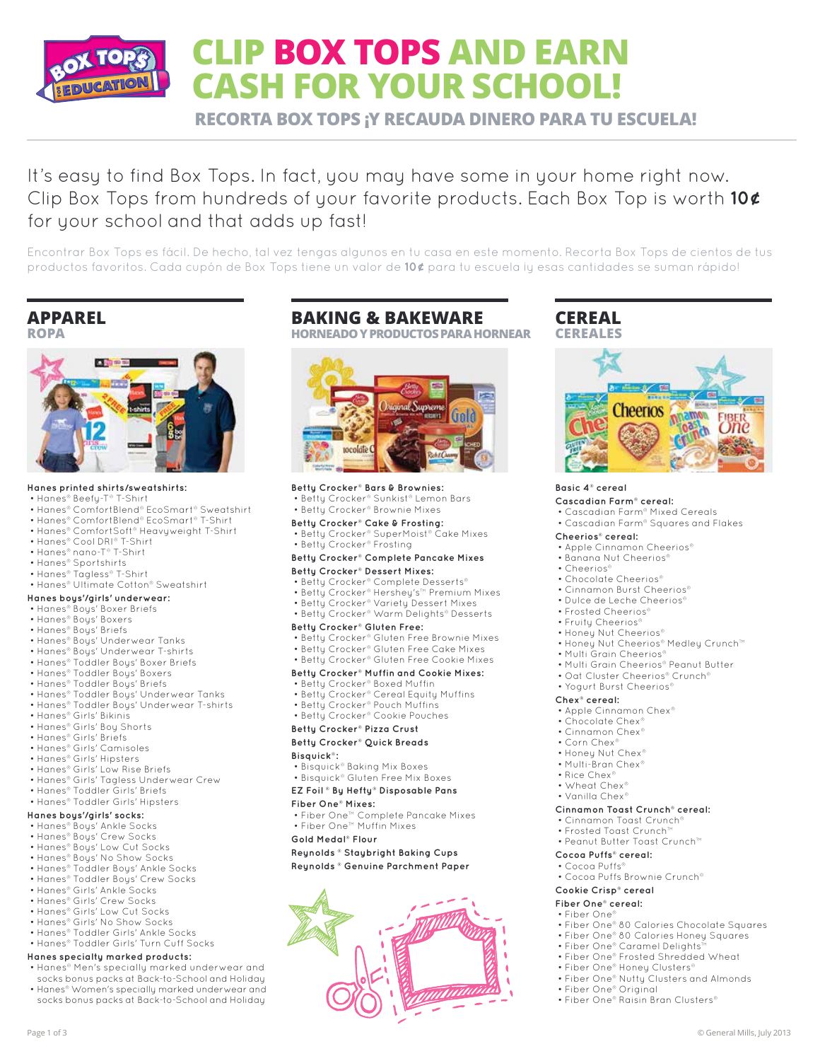

# **CLIP BOX TOPS AND EARN CASH FOR YOUR SCHOOL!**

**RECORTA BOX TOPS ¡Y RECAUDA DINERO PARA TU ESCUELA!**

It's easy to find Box Tops. In fact, you may have some in your home right now. Clip Box Tops from hundreds of your favorite products. Each Box Top is worth **10¢** for your school and that adds up fast!

Encontrar Box Tops es fácil. De hecho, tal vez tengas algunos en tu casa en este momento. Recorta Box Tops de cientos de tus productos favoritos. Cada cupón de Box Tops tiene un valor de **10¢** para tu escuela ¡y esas cantidades se suman rápido!

# **APPAREL ROPA**



# **Hanes printed shirts/sweatshirts:**

- Hanes® Beefy-T® T-Shirt
- Hanes® ComfortBlend® EcoSmart® Sweatshirt
- Hanes® ComfortBlend® EcoSmart® T-Shirt
- Hanes® ComfortSoft® Heavyweight T-Shirt
- Hanes® Cool DRI® T-Shirt • Hanes® nano-T® T-Shirt
- 
- Hanes® Sportshirts
- Hanes® Tagless® T-Shirt • Hanes® Ultimate Cotton® Sweatshirt
- 

#### **Hanes boys'/girls' underwear:** • Hanes® Boys' Boxer Briefs

- Hanes® Boys' Boxers
- Hanes® Boys' Briefs
- Hanes® Boys' Underwear Tanks
- Hanes® Boys' Underwear T-shirts
- Hanes® Toddler Boys' Boxer Briefs
- Hanes® Toddler Boys' Boxers
- Hanes® Toddler Boys' Briefs
- 
- Hanes® Toddler Boys' Underwear Tanks
- Hanes® Toddler Boys' Underwear T-shirts
- Hanes® Girls' Bikinis
- Hanes® Girls' Boy Shorts
- Hanes® Girls' Briefs
- Hanes® Girls' Camisoles
- Hanes® Girls' Hipsters
- Hanes® Girls' Low Rise Briefs
- Hanes® Girls' Tagless Underwear Crew
- Hanes® Toddler Girls' Briefs
- Hanes® Toddler Girls' Hipsters

# **Hanes boys'/girls' socks:**

- Hanes® Boys' Ankle Socks
- Hanes® Boys' Crew Socks
- Hanes® Boys' Low Cut Socks
- Hanes® Boys' No Show Socks • Hanes® Toddler Boys' Ankle Socks
- Hanes® Toddler Boys' Crew Socks
- Hanes® Girls' Ankle Socks
- Hanes® Girls' Crew Socks
- Hanes® Girls' Low Cut Socks
- Hanes® Girls' No Show Socks
- Hanes® Toddler Girls' Ankle Socks
- Hanes® Toddler Girls' Turn Cuff Socks

## **Hanes specialty marked products:**

- Hanes® Men's specially marked underwear and socks bonus packs at Back-to-School and Holiday
- Hanes® Women's specially marked underwear and socks bonus packs at Back-to-School and Holiday

# **BAKING & BAKEWARE**

**HORNEADO Y PRODUCTOS PARA HORNEAR**



**Betty Crocker® Bars & Brownies:** • Betty Crocker® Sunkist® Lemon Bars

• Betty Crocker® Brownie Mixes

#### **Betty Crocker® Cake & Frosting:**

- Betty Crocker® SuperMoist® Cake Mixes
- Betty Crocker® Frosting
- **Betty Crocker® Complete Pancake Mixes**

## **Betty Crocker® Dessert Mixes:**

- Betty Crocker® Complete Desserts®
- Betty Crocker® Hershey's™ Premium Mixes
- Betty Crocker® Variety Dessert Mixes
- Betty Crocker® Warm Delights® Desserts

#### **Betty Crocker® Gluten Free:**

- Betty Crocker® Gluten Free Brownie Mixes
- Betty Crocker® Gluten Free Cake Mixes
- Betty Crocker® Gluten Free Cookie Mixes

## **Betty Crocker® Muffin and Cookie Mixes:**

- Betty Crocker® Boxed Muffin
- Betty Crocker® Cereal Equity Muffins
- Betty Crocker® Pouch Muffins
- Betty Crocker® Cookie Pouches

# **Betty Crocker® Pizza Crust**

#### **Betty Crocker® Quick Breads**

#### **Bisquick®:**

• Bisquick® Baking Mix Boxes

• Bisquick® Gluten Free Mix Boxes

# **EZ Foil ® By Hefty® Disposable Pans**

- **Fiber One® Mixes:**
- Fiber One™ Complete Pancake Mixes • Fiber One™ Muffin Mixes

#### **Gold Medal® Flour**

**Reynolds ® Staybright Baking Cups**

**Reynolds ® Genuine Parchment Paper**



# **CEREAL CEREALES**



#### **Basic 4® cereal**

#### **Cascadian Farm® cereal:**

- Cascadian Farm® Mixed Cereals
- Cascadian Farm® Squares and Flakes

• Honey Nut Cheerios® Medley Crunch™

 • Multi Grain Cheerios® Peanut Butter • Oat Cluster Cheerios® Crunch® • Yogurt Burst Cheerios®

#### **Cheerios® cereal:**

- Apple Cinnamon Cheerios®
- Banana Nut Cheerios®
- Cheerios®
- Chocolate Cheerios®

 • Frosted Cheerios® • Fruity Cheerios® • Honey Nut Cheerios®

• Multi Grain Cheerios<sup>®</sup>

 • Apple Cinnamon Chex® • Chocolate Chex • Cinnamon Chex® • Corn Chex • Honey Nut Chex® • Multi-Bran Chex® • Rice Chex® • Wheat Chex® • Vanilla Chex®

**Cinnamon Toast Crunch® cereal:** • Cinnamon Toast Crunch® • Frosted Toast Crunch™ • Peanut Butter Toast Crunch™

• Cocoa Puffs Brownie Crunch®

 • Fiber One® 80 Calories Chocolate Squares • Fiber One® 80 Calories Honey Squares • Fiber One® Caramel Delights™ • Fiber One® Frosted Shredded Wheat • Fiber One® Honey Clusters®

• Fiber One® Nutty Clusters and Almonds

• Fiber One® Raisin Bran Clusters®

**Cocoa Puffs® cereal:** • Cocoa Puffs

**Cookie Crisp® cereal Fiber One® cereal:** • Fiber One®

• Fiber One® Original

**Chex® cereal:**

- Cinnamon Burst Cheerios®
- Dulce de Leche Cheerios®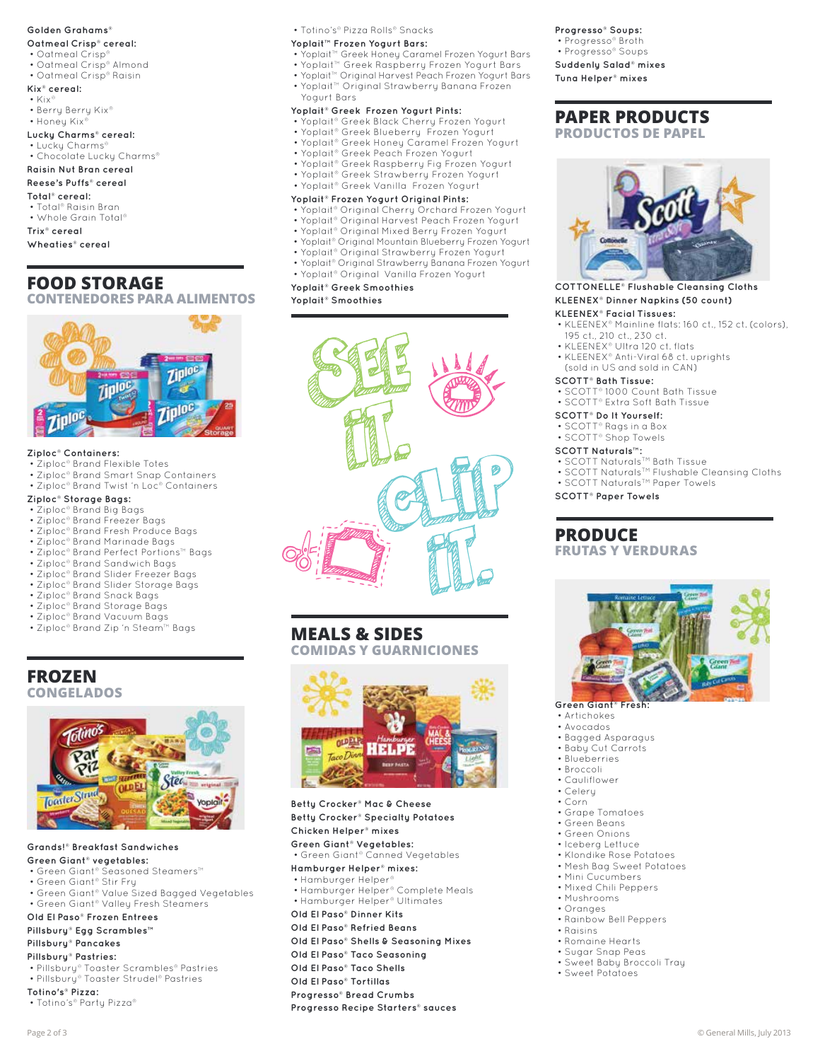#### **Golden Grahams®**

## **Oatmeal Crisp® cereal:**

- Oatmeal Crisp®
- Oatmeal Crisp® Almond
- Oatmeal Crisp® Raisin

## **Kix® cereal:**

- Kix®
- Berry Berry Kix®
- Honey Kix®
- **Lucky Charms® cereal:**
- Lucky Charms® • Chocolate Lucky Charms®
- **Raisin Nut Bran cereal**

# **Reese's Puffs® cereal**

**Total® cereal:**

- Total® Raisin Bran
- Whole Grain Total®

**Trix® cereal**

**Wheaties® cereal**

# **FOOD STORAGE**

**CONTENEDORES PARA ALIMENTOS**



#### **Ziploc® Containers:**

- Ziploc® Brand Flexible Totes
- Ziploc® Brand Smart Snap Containers
- Ziploc® Brand Twist 'n Loc® Containers

# **Ziploc® Storage Bags:**

- Ziploc® Brand Big Bags
- Ziploc® Brand Freezer Bags
- Ziploc® Brand Fresh Produce Bags
- Ziploc® Brand Marinade Bags • Ziploc® Brand Perfect Portions™ Bags
- Ziploc® Brand Sandwich Bags
- Ziploc® Brand Slider Freezer Bags
- Ziploc® Brand Slider Storage Bags
- Ziploc® Brand Snack Bags
- Ziploc® Brand Storage Bags
- Ziploc® Brand Vacuum Bags
- Ziploc® Brand Zip 'n Steam™ Bags

# **FROZEN CONGELADOS**



**Grands!® Breakfast Sandwiches Green Giant® vegetables:**

- Green Giant® Seasoned Steamers™
- Green Giant® Stir Fry
- Green Giant® Value Sized Bagged Vegetables • Green Giant® Valley Fresh Steamers

#### **Old El Paso® Frozen Entrees**

**Pillsbury® Egg Scrambles™**

# **Pillsbury® Pancakes**

- **Pillsbury® Pastries:**
- Pillsbury® Toaster Scrambles® Pastries • Pillsbury® Toaster Strudel® Pastries
- **Totino's® Pizza:**
- Totino's® Party Pizza®

• Totino's® Pizza Rolls® Snacks

### **Yoplait™ Frozen Yogurt Bars:**

- Yoplait™ Greek Honey Caramel Frozen Yogurt Bars
- Yoplait™ Greek Raspberry Frozen Yogurt Bars
- Yoplait™ Original Harvest Peach Frozen Yogurt Bars • Yoplait™ Original Strawberry Banana Frozen Yogurt Bars

## **Yoplait® Greek Frozen Yogurt Pints:**

- 
- Yoplait® Greek Black Cherry Frozen Yogurt • Yoplait® Greek Blueberry Frozen Yogurt
- 
- Yoplait® Greek Honey Caramel Frozen Yogurt
- Yoplait® Greek Peach Frozen Yogurt
- Yoplait® Greek Raspberry Fig Frozen Yogurt • Yoplait® Greek Strawberry Frozen Yogurt
- Yoplait® Greek Vanilla Frozen Yogurt

#### **Yoplait® Frozen Yogurt Original Pints:**

- Yoplait® Original Cherry Orchard Frozen Yogurt
- Yoplait® Original Harvest Peach Frozen Yogurt
- Yoplait® Original Mixed Berry Frozen Yogurt
- Yoplait® Original Mountain Blueberry Frozen Yogurt
- Yoplait® Original Strawberry Frozen Yogurt • Yoplait® Original Strawberry Banana Frozen Yogurt
- Yoplait® Original Vanilla Frozen Yogurt
- **Yoplait® Greek Smoothies**

**Yoplait® Smoothies**



# **MEALS & SIDES**

**COMIDAS Y GUARNICIONES**



**Betty Crocker® Mac & Cheese Betty Crocker® Specialty Potatoes Chicken Helper® mixes**

- **Green Giant® Vegetables:** • Green Giant® Canned Vegetables
- **Hamburger Helper® mixes:**
- Hamburger Helper®
- Hamburger Helper® Complete Meals
- Hamburger Helper® Ultimates
- **Old El Paso® Dinner Kits**

# **Old El Paso® Refried Beans**

- **Old El Paso® Shells & Seasoning Mixes**
- **Old El Paso® Taco Seasoning**
- **Old El Paso® Taco Shells**
- **Old El Paso® Tortillas**
- **Progresso® Bread Crumbs**
- **Progresso Recipe Starters® sauces**
- Page 2 of 3 © General Mills, July 2013

#### **Progresso® Soups:** • Progresso® Broth

- Progresso® Soups
- **Suddenly Salad® mixes Tuna Helper® mixes**

# **PAPER PRODUCTS PRODUCTOS DE PAPEL**



## **COTTONELLE® Flushable Cleansing Cloths KLEENEX® Dinner Napkins (50 count)**

#### **KLEENEX® Facial Tissues:**

**SCOTT® Bath Tissue:**

**SCOTT® Paper Towels**

**PRODUCE**

Green Giant<sup>®</sup> Fres • Artichokes • Avocados • Bagged Asparagus • Baby Cut Carrots • Blueberries • Broccoli • Cauliflower • Celery • Corn

 • Grape Tomatoes • Green Beans • Green Onions • Iceberg Lettuce • Klondike Rose Potatoes • Mesh Bag Sweet Potatoes • Mini Cucumbers • Mixed Chili Peppers • Mushrooms • Oranges

• Rainbow Bell Peppers

 • Raisins • Romaine Hearts • Sugar Snap Peas • Sweet Baby Broccoli Tray • Sweet Potatoes

 • KLEENEX® Mainline flats: 160 ct., 152 ct. (colors), 195 ct., 210 ct., 230 ct.

• SCOTT Naturals™ Bath Tissue<br>• SCOTT Naturals™ Flushable Cleansing Cloths

 • KLEENEX® Ultra 120 ct. flats • KLEENEX® Anti-Viral 68 ct. uprights (sold in US and sold in CAN)

 • SCOTT® 1000 Count Bath Tissue • SCOTT® Extra Soft Bath Tissue **SCOTT® Do It Yourself:** • SCOTT® Rags in a Box • SCOTT® Shop Towels **SCOTT Naturals™:**

• SCOTT Naturals<sup>TM</sup> Paper Towels

**FRUTAS Y VERDURAS**